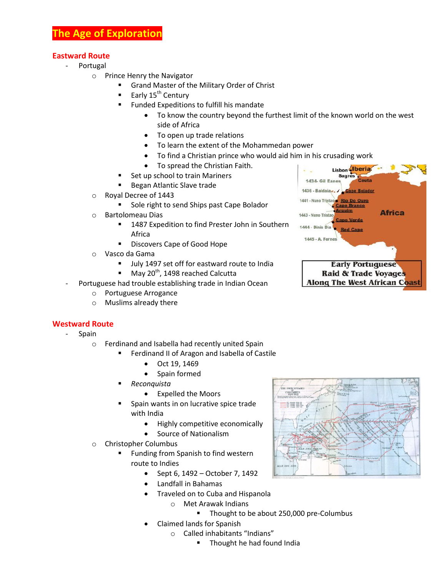## **Eastward Route**

- **Portugal** 
	- o Prince Henry the Navigator
		- Grand Master of the Military Order of Christ
		- Early  $15<sup>th</sup>$  Century
		- Funded Expeditions to fulfill his mandate
			- T[o know](http://www.newadvent.org/cathen/08673a.htm) the country beyond the furthest limit of the known world on the west side of [Africa](http://www.newadvent.org/cathen/01181a.htm)
			- To open up trade relations
			- To learn the extent of the [Mohammedan](http://www.newadvent.org/cathen/10424a.htm) power
			- To find [a Christian](http://www.newadvent.org/cathen/03712a.htm) prince who would aid him in his crusading work
			- To spread the [Christian Faith.](http://www.newadvent.org/cathen/03712a.htm)
		- Set up school to train Mariners
		- **Began Atlantic Slave trade**
	- o Royal Decree of 1443
		- Sole right to send Ships past Cape Bolador
	- o Bartolomeau Dias
		- **1487 Expedition to find Prester John in Southern** Africa
		- **Discovers Cape of Good Hope**
	- o Vasco da Gama
		- Ully 1497 set off for eastward route to India
		- $M$ May 20<sup>th</sup>, 1498 reached Calcutta
	- Portuguese had trouble establishing trade in Indian Ocean
		- o Portuguese Arrogance
		- o Muslims already there

## **Westward Route**

- **Spain** 
	- o Ferdinand and Isabella had recently united Spain
		- Ferdinand II of Aragon and Isabella of Castile
			- Oct 19, 1469
			- Spain formed
		- *Reconquista*
			- Expelled the Moors
		- Spain wants in on lucrative spice trade with India
			- Highly competitive economically
			- Source of Nationalism
	- o Christopher Columbus
		- Funding from Spanish to find western route to Indies
			- $\bullet$  Sept 6, 1492 October 7, 1492
			- Landfall in Bahamas
			- Traveled on to Cuba and Hispanola
				- o Met Arawak Indians
					- Thought to be about 250,000 pre-Columbus
			- Claimed lands for Spanish
				- o Called inhabitants "Indians"
					- **Thought he had found India**



Lisbon Heria **Sagres** 

1434- Gil Eanes

1436 - Baldaia . / Cape Bojador

 $rac{1}{2}$ 

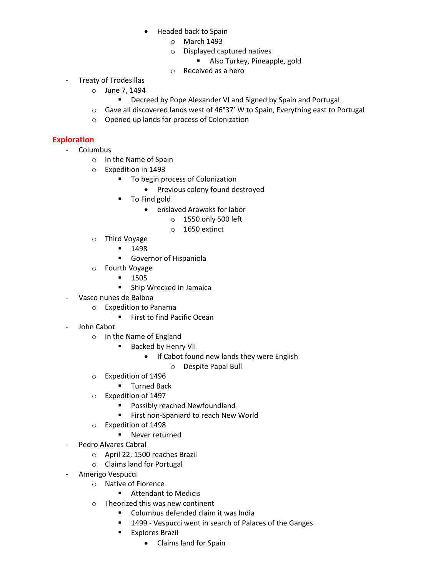- Headed back to Spain
	- o March 1493
	- o Displayed captured natives
		- **Also Turkey, Pineapple, gold**
	- o Received as a hero
- Treaty of Trodesillas
	- o June 7, 1494
		- **Decreed by Pope Alexander VI and Signed by Spain and Portugal**
	- o Gave all discovered lands west of 46°37' W to Spain, Everything east to Portugal
	- o Opened up lands for process of Colonization

## **Exploration**

- Columbus
	- o In the Name of Spain
	- o Expedition in 1493
		- **To begin process of Colonization** 
			- Previous colony found destroyed
		- **To Find gold** 
			- enslaved Arawaks for labor
				- o 1550 only 500 left
				- o 1650 extinct
	- o Third Voyage
		- $-1498$ 
			- **Governor of Hispaniola**
	- o Fourth Voyage
		- $-1505$
		- **Ship Wrecked in Jamaica**
- Vasco nunes de Balboa
	- o Expedition to Panama
		- **First to find Pacific Ocean**
- John Cabot
	- o In the Name of England
		- **Backed by Henry VII** 
			- If Cabot found new lands they were English
				- o Despite Papal Bull
	- o Expedition of 1496
		- **Turned Back**
	- o Expedition of 1497
		- **Possibly reached Newfoundland**
		- **First non-Spaniard to reach New World**
	- o Expedition of 1498
		- **Never returned**
- Pedro Alvares Cabral
	- o April 22, 1500 reaches Brazil
	- o Claims land for Portugal
- Amerigo Vespucci
	- o Native of Florence
		- **Attendant to Medicis**
	- o Theorized this was new continent
		- **Columbus defended claim it was India**
		- **1499 Vespucci went in search of Palaces of the Ganges**
		- **Explores Brazil** 
			- Claims land for Spain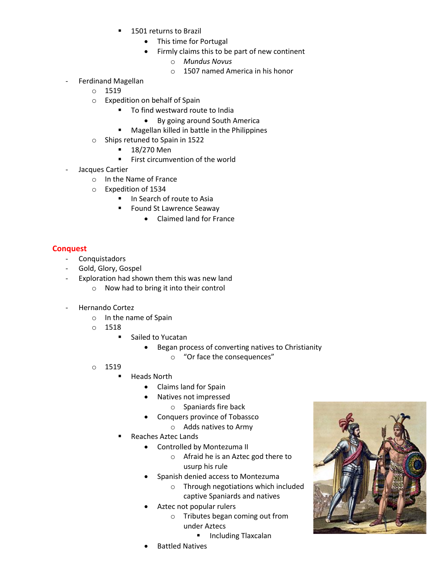- 1501 returns to Brazil
	- This time for Portugal
	- Firmly claims this to be part of new continent
		- o *Mundus Novus*
		- o 1507 named America in his honor
- Ferdinand Magellan
	- o 1519
	- o Expedition on behalf of Spain
		- To find westward route to India
			- By going around South America
		- **Magellan killed in battle in the Philippines**
	- o Ships retuned to Spain in 1522
		- $-18/270$  Men
		- **First circumvention of the world**
- Jacques Cartier
	- o In the Name of France
	- o Expedition of 1534
		- **II** In Search of route to Asia
		- Found St Lawrence Seaway
			- Claimed land for France

## **Conquest**

- Conquistadors
- Gold, Glory, Gospel
- Exploration had shown them this was new land
	- o Now had to bring it into their control
- Hernando Cortez
	- o In the name of Spain
	- o 1518
		- Sailed to Yucatan
			- Began process of converting natives to Christianity
				- o "Or face the consequences"
	- o 1519
		- **Heads North** 
			- Claims land for Spain
			- Natives not impressed
				- o Spaniards fire back
			- Conquers province of Tobassco
				- o Adds natives to Army
		- Reaches Aztec Lands
			- Controlled by Montezuma II
				- o Afraid he is an Aztec god there to usurp his rule
			- Spanish denied access to Montezuma
				- o Through negotiations which included captive Spaniards and natives
			- Aztec not popular rulers
				- o Tributes began coming out from under Aztecs
					- **Including Tlaxcalan**
			- Battled Natives